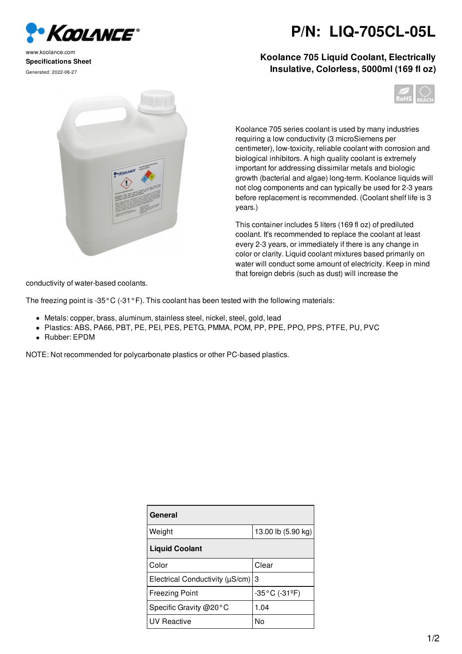

www.koolance.com **Specifications Sheet** Generated: 2022-06-27



**P/N: LIQ-705CL-05L**

## **Koolance 705 Liquid Coolant, Electrically Insulative, Colorless, 5000ml (169 fl oz)**



Koolance 705 series coolant is used by many industries requiring a low conductivity (3 microSiemens per centimeter), low-toxicity, reliable coolant with corrosion and biological inhibitors. A high quality coolant is extremely important for addressing dissimilar metals and biologic growth (bacterial and algae) long-term. Koolance liquids will not clog components and can typically be used for 2-3 years before replacement is recommended. (Coolant shelf life is 3 years.)

This container includes 5 liters (169 fl oz) of prediluted coolant. It's recommended to replace the coolant at least every 2-3 years, or immediately if there is any change in color or clarity. Liquid coolant mixtures based primarily on water will conduct some amount of electricity. Keep in mind that foreign debris (such as dust) will increase the

conductivity of water-based coolants.

The freezing point is -35°C (-31°F). This coolant has been tested with the following materials:

- Metals: copper, brass, aluminum, stainless steel, nickel, steel, gold, lead
- Plastics: ABS, PA66, PBT, PE, PEI, PES, PETG, PMMA, POM, PP, PPE, PPO, PPS, PTFE, PU, PVC
- Rubber: EPDM

NOTE: Not recommended for polycarbonate plastics or other PC-based plastics.

| General                              |                                    |
|--------------------------------------|------------------------------------|
| Weight                               | 13.00 lb (5.90 kg)                 |
| <b>Liquid Coolant</b>                |                                    |
| Color                                | Clear                              |
| Electrical Conductivity $(\mu S/cm)$ | 3                                  |
| <b>Freezing Point</b>                | $-35^{\circ}$ C (-31 $^{\circ}$ F) |
| Specific Gravity $@20°C$             | 1.04                               |
| <b>UV Reactive</b>                   | N٥                                 |